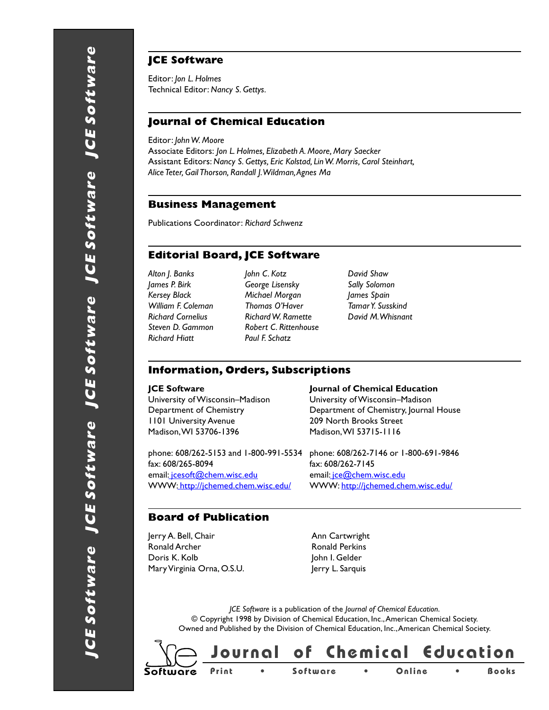## **JCE Software**

Editor: *Jon L. Holmes* Technical Editor: *Nancy S. Gettys.*

### **Journal of Chemical Education**

Editor: *John W. Moore*

Associate Editors: *Jon L. Holmes, Elizabeth A. Moore, Mary Saecker* Assistant Editors: *Nancy S. Gettys, Eric Kolstad, Lin W. Morris, Carol Steinhart, Alice Teter, Gail Thorson, Randall J. Wildman, Agnes Ma*

#### **Business Management**

Publications Coordinator: *Richard Schwenz*

## **Editorial Board, JCE Software**

*Richard Hiatt Paul F. Schatz*

*Alton J. Banks John C. Kotz David Shaw James P. Birk George Lisensky Sally Solomon Kersey Black Michael Morgan James Spain William F. Coleman Thomas O'Haver Tamar Y. Susskind Richard Cornelius Richard W. Ramette David M. Whisnant Steven D. Gammon Robert C. Rittenhouse*

#### **Information, Orders, Subscriptions**

University of Wisconsin–Madison University of Wisconsin–Madison 1101 University Avenue 209 North Brooks Street Madison, WI 53706-1396 Madison, WI 53715-1116

phone: 608/262-5153 and 1-800-991-5534 phone: 608/262-7146 or 1-800-691-9846 fax: 608/265-8094 fax: 608/262-7145 email[: jcesoft@chem.wisc.edu](mailto:// jcesoft@chem.wisc.edu) email[: jce@chem.wisc.edu](mailto:// jce@chem.wisc.edu) WWW:http://jchemed.chem.wisc.edu/ WWW:http://jchemed.chem.wisc.edu/

#### **JCE Software Serve Access Serve Access Servers** Journal of Chemical Education

Department of Chemistry Department of Chemistry, Journal House

#### **Board of Publication**

Jerry A. Bell, Chair **Ann Cartwright** Ronald Archer **Ronald Perkins** Doris K. Kolb John I. Gelder Mary Virginia Orna, O.S.U. Jerry L. Sarquis

*JCE Software* is a publication of the *Journal of Chemical Education*. © Copyright 1998 by Division of Chemical Education, Inc., American Chemical Society. Owned and Published by the Division of Chemical Education, Inc., American Chemical Society.